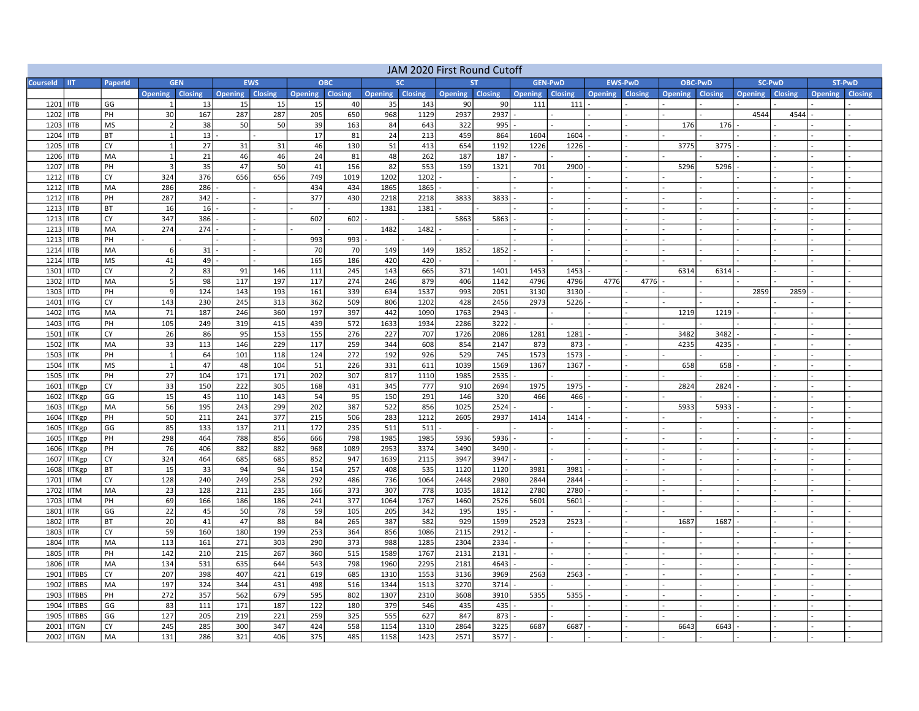| JAM 2020 First Round Cutoff |                            |                          |                        |                  |                  |                  |                        |                  |                  |              |                 |              |                |                |                |                |              |                |                |                |                           |  |
|-----------------------------|----------------------------|--------------------------|------------------------|------------------|------------------|------------------|------------------------|------------------|------------------|--------------|-----------------|--------------|----------------|----------------|----------------|----------------|--------------|----------------|----------------|----------------|---------------------------|--|
| <b>Courseld</b>             | <b>IIT</b>                 | PaperId                  | <b>GEN</b>             |                  | <b>EWS</b>       |                  | <b>OBC</b>             |                  |                  | <b>SC</b>    | <b>ST</b>       |              | <b>GEN-PWD</b> |                | <b>EWS-PwD</b> |                | OBC-PwD      |                | <b>SC-PwD</b>  |                | ST-PwD                    |  |
|                             |                            |                          | <b>Opening Closing</b> |                  | Opening Closing  |                  | <b>Opening Closing</b> |                  | Opening Closing  |              | Opening Closing |              | Opening        | <b>Closing</b> | Opening        | <b>Closing</b> | Opening      | <b>Closing</b> | <b>Opening</b> | <b>Closing</b> | <b>Closing</b><br>Opening |  |
| 1201                        | <b>IITB</b>                | GG                       |                        | 13               | 15               | 15               | 15                     | 40               | 35               | 143          | 90              | 90           | 111            | 111            |                |                |              |                |                |                |                           |  |
| 1202                        | <b>IITB</b>                | PH                       | 30                     | 167              | 287              | 287              | 205                    | 650              | 968              | 1129         | 2937            | 2937         |                |                |                |                |              |                | 4544           | 4544           |                           |  |
| 1203                        | <b>IITB</b>                | <b>MS</b>                | $\overline{2}$         | 38               | 50               | 50               | 39                     | 163              | 84               | 643          | 322             | 995          |                |                |                |                | 176          | 176            |                |                |                           |  |
| 1204                        | <b>IITB</b>                | BT                       | $\mathbf{1}$           | 13               |                  |                  | 17                     | 81               | 24               | 213          | 459             | 864          | 1604           | 1604           |                |                |              |                |                |                |                           |  |
| 1205                        | <b>IITB</b>                | CY                       | 1                      | 27               | 31               | 31               | 46                     | 130              | 51               | 413          | 654             | 1192         | 1226           | 1226           |                |                | 3775         | 3775           |                |                |                           |  |
| 1206                        | <b>IITB</b>                | MA                       | $\mathbf{1}$           | 21               | 46               | 46               | 24                     | 81               | 48               | 262          | 187             | 187          |                |                |                |                |              |                |                |                |                           |  |
| 1207                        | <b>IITB</b>                | PH                       | $\overline{3}$         | 35               | 47               | 50               | 41                     | 156              | 82               | 553          | 159             | 1321         | 701            | 2900           |                |                | 5296         | 5296           |                |                |                           |  |
| 1212                        | <b>IITB</b>                | CY                       | 324                    | 376              | 656              | 656              | 749                    | 1019             | 1202             | 1202         |                 |              |                |                |                |                |              |                |                |                |                           |  |
| 1212                        | <b>IITB</b>                | MA                       | 286                    | 286              |                  |                  | 434                    | 434              | 1865             | 1865         |                 |              |                |                |                |                |              |                |                |                |                           |  |
| 1212                        | <b>IITB</b>                | PH                       | 287                    | 342              |                  |                  | 377                    | 430              | 2218             | 2218         | 3833            | 3833         |                |                |                |                |              |                |                |                |                           |  |
| 1213                        | <b>IITB</b>                | <b>BT</b>                | 16                     | 16               |                  |                  |                        |                  | 1381             | 1381         |                 |              |                |                |                |                |              |                |                |                |                           |  |
| 1213                        | <b>IITB</b>                | CY<br>M <sub>A</sub>     | 347                    | 386              |                  |                  | 602                    | 602              |                  |              | 5863            | 5863         |                |                |                |                |              |                |                |                |                           |  |
| 1213                        | <b>IITB</b>                |                          | 274                    | 274              |                  |                  |                        |                  | 1482             | 1482         |                 |              |                |                |                |                |              |                |                |                |                           |  |
| 1213                        | <b>IITB</b>                | PH                       |                        |                  |                  |                  | 993                    | 993              |                  |              |                 |              |                |                |                |                |              |                |                |                |                           |  |
| 1214                        | <b>IITB</b>                | MA                       | 6                      | 31               |                  |                  | 70<br>165              | 70               | 149              | 149          | 1852            | 1852         |                |                |                |                |              |                |                |                |                           |  |
| 1214                        | <b>IITB</b>                | <b>MS</b>                | 41                     | 49               |                  |                  |                        | 186              | 420              | 420          |                 |              |                |                |                |                |              |                |                |                |                           |  |
| 1301                        | <b>IITD</b>                | CY<br>MA                 | $\overline{2}$<br>5    | 83               | 91               | 146              | 111                    | 245<br>274       | 143<br>246       | 665<br>879   | 371             | 1401         | 1453           | 1453           |                |                | 6314         | 6314           |                |                |                           |  |
| 1302                        | <b>IITD</b>                |                          | 9                      | 98               | 117              | 197              | 117                    |                  |                  | 1537         | 406             | 1142<br>2051 | 4796           | 4796           | 4776           | 4776           |              |                |                |                |                           |  |
| 1303                        | <b>IITD</b>                | PH                       |                        | 124              | 143              | 193              | 161                    | 339              | 634              |              | 993             |              | 3130           | 3130           |                |                |              |                | 2859           | 2859           |                           |  |
| 1401<br>1402                | <b>IITG</b>                | CY<br>MA                 | 143<br>71              | 230<br>187       | 245<br>246       | 313<br>360       | 362<br>197             | 509<br>397       | 806<br>442       | 1202<br>1090 | 428<br>1763     | 2456<br>2943 | 2973           | 5226           |                |                |              |                |                |                |                           |  |
|                             | <b>IITG</b>                |                          |                        |                  | 319              | 415              |                        | 572              | 1633             | 1934         | 2286            | 3222         |                |                |                |                | 1219         | 1219           |                |                |                           |  |
| 1403                        | <b>IITG</b><br><b>IITK</b> | PH<br>CY                 | 105                    | 249<br>86        |                  | 153              | 439<br>155             | 276              | $\overline{227}$ | 707          | 1726            | 2086         |                | 1281           |                |                |              |                |                |                |                           |  |
| 1501<br>1502                | <b>IITK</b>                | MA                       | $\overline{26}$<br>33  | 113              | 95<br>146        | 229              | 117                    | 259              | 344              | 608          | 854             | 2147         | 1281<br>873    | 873            |                |                | 3482<br>4235 | 3482<br>4235   |                |                |                           |  |
| 1503                        |                            | PH                       | $\mathbf{1}$           | 64               | 101              | 118              | 124                    | 272              | 192              | 926          | 529             | 745          | 1573           | 1573           |                |                |              |                |                |                |                           |  |
| 1504                        | <b>IITK</b><br><b>IITK</b> | <b>MS</b>                | $\mathbf{1}$           | 47               | 48               | 104              | 51                     | 226              | 331              | 611          | 1039            | 1569         | 1367           | 1367           |                |                | 658          | 658            |                |                |                           |  |
| 1505                        | <b>IITK</b>                | PH                       | 27                     | 104              | 171              | 171              | 202                    | 307              | 817              | 1110         | 1985            | 2535         |                |                |                |                |              |                |                |                |                           |  |
| 1601                        | <b>IITKgp</b>              | CY                       | $\overline{33}$        | 150              | 222              | 305              | 168                    | 431              | 345              | 777          | 910             | 2694         | 1975           | 1975           |                |                | 2824         | 2824           |                |                |                           |  |
| 1602                        | <b>IITKgp</b>              | GG                       | 15                     | 45               | 110              | 143              | 54                     | 95               | 150              | 291          | 146             | 320          | 466            | 466            |                |                |              |                |                |                |                           |  |
| 1603                        | <b>IITKgp</b>              | MA                       | 56                     | 195              | 243              | 299              | 202                    | 387              | 522              | 856          | 1025            | 2524         |                |                |                |                | 5933         | 5933           |                |                |                           |  |
| 1604                        | <b>IITKgp</b>              | PH                       | 50                     | 211              | 241              | $\overline{377}$ | $\overline{215}$       | 506              | 283              | 1212         | 2605            | 2937         | 1414           | 1414           |                |                |              |                |                |                |                           |  |
| 1605                        | <b>IITKgp</b>              | GG                       | 85                     | 133              | 137              | 211              | 172                    | 235              | 511              | 511          |                 |              |                |                |                |                |              |                |                |                |                           |  |
| 1605                        | <b>IITKgp</b>              | PH                       | 298                    | 464              | 788              | 856              | 666                    | 798              | 1985             | 1985         | 5936            | 5936         |                |                |                |                |              |                |                |                |                           |  |
| 1606                        | <b>IITKgp</b>              | PH                       | 76                     | 406              | 882              | 882              | 968                    | 1089             | 2953             | 3374         | 3490            | 3490         |                |                |                |                |              |                |                |                |                           |  |
| 1607                        | <b>IITKgp</b>              | CY                       | 324                    | 464              | 685              | 685              | 852                    | 947              | 1639             | 2115         | 3947            | 3947         |                |                |                |                |              |                |                |                |                           |  |
| 1608                        | <b>IITKgp</b>              | BT                       | 15                     | 33               | 94               | 94               | 154                    | 257              | 408              | 535          | 1120            | 1120         | 3981           | 3981           |                |                |              |                |                |                |                           |  |
| 1701                        | <b>IITM</b>                | CY                       | 128                    | 240              | 249              | 258              | 292                    | 486              | 736              | 1064         | 2448            | 2980         | 2844           | 2844           |                |                |              |                |                |                |                           |  |
| 1702                        | <b>IITM</b>                | MA                       | $\overline{23}$        | 128              | $\overline{211}$ | 235              | 166                    | 373              | 307              | 778          | 1035            | 1812         | 2780           | 2780           |                |                |              |                |                |                |                           |  |
| 1703                        | <b>IITM</b>                | PH                       | 69                     | 166              | 186              | 186              | 241                    | 377              | 1064             | 1767         | 1460            | 2526         | 5601           | 5601           |                |                |              |                |                |                |                           |  |
| 1801                        | <b>IITR</b>                | GG                       | 22                     | 45               | 50               | 78               | 59                     | 105              | 205              | 342          | 195             | 195          |                |                |                |                |              |                |                |                |                           |  |
| 1802                        | <b>IITR</b>                | BT                       | 20                     | 41               | 47               | 88               | 84                     | 265              | 387              | 582          | 929             | 1599         | 2523           | 2523           |                |                | 1687         | 1687           |                |                |                           |  |
| 1803                        | <b>IITR</b>                | CY                       | 59                     | 160              | 180              | 199              | 253                    | 364              | 856              | 1086         | 2115            | 2912         |                |                |                |                |              |                |                |                |                           |  |
| 1804                        | <b>IITR</b>                | MA                       | 113                    | 161              | 271              | 303              | 290                    | 373              | 988              | 1285         | 2304            | 2334         |                |                |                |                |              |                |                |                |                           |  |
| 1805                        | <b>IITR</b>                | PH                       | 142                    | 210              | 215              | 267              | 360                    | 515              | 1589             | 1767         | 2131            | 2131         |                |                |                |                |              |                |                |                |                           |  |
| 1806                        | <b>IITR</b>                | MA                       | 134                    | $\overline{531}$ | 635              | 644              | 543                    | 798              | 1960             | 2295         | 2181            | 4643         |                |                |                |                |              |                |                |                |                           |  |
| 1901                        | <b>IITBBS</b>              | CY                       | 207                    | 398              | 407              | 421              | 619                    | 685              | 1310             | 1553         | 3136            | 3969         | 2563           | 2563           |                |                |              |                |                |                |                           |  |
| 1902                        | <b>IITBBS</b>              | MA                       | 197                    | 324              | 344              | 431              | 498                    | 516              | 1344             | 1513         | 3270            | 3714         |                |                |                |                |              |                |                |                |                           |  |
| 1903                        | <b>IITBBS</b>              | PH                       | 272                    | 357              | 562              | 679              | 595                    | 802              | 1307             | 2310         | 3608            | 3910         | 5355           | 5355           |                |                |              |                |                |                |                           |  |
| 1904                        | <b>IITBBS</b>              | GG                       | 83                     | 111              | 171              | 187              | 122                    | 180              | 379              | 546          | 435             | 435          |                |                |                |                |              |                |                |                |                           |  |
| 1905                        | <b>IITBBS</b>              | $\overline{\mathsf{GG}}$ | 127                    | 205              | 219              | $\overline{221}$ | 259                    | $\overline{325}$ | 555              | 627          | 847             | 873          |                |                |                |                |              |                |                |                |                           |  |
| 2001                        | <b>IITGN</b>               | CY                       | 245                    | 285              | 300              | 347              | 424                    | 558              | 1154             | 1310         | 2864            | 3225         | 6687           | 6687           |                |                | 6643         | 6643           |                |                |                           |  |
|                             | 2002 IITGN                 | MA                       | 131                    | 286              | 321              | 406              | 375                    | 485              | 1158             | 1423         | 2571            | 3577         |                |                |                |                |              |                |                |                |                           |  |